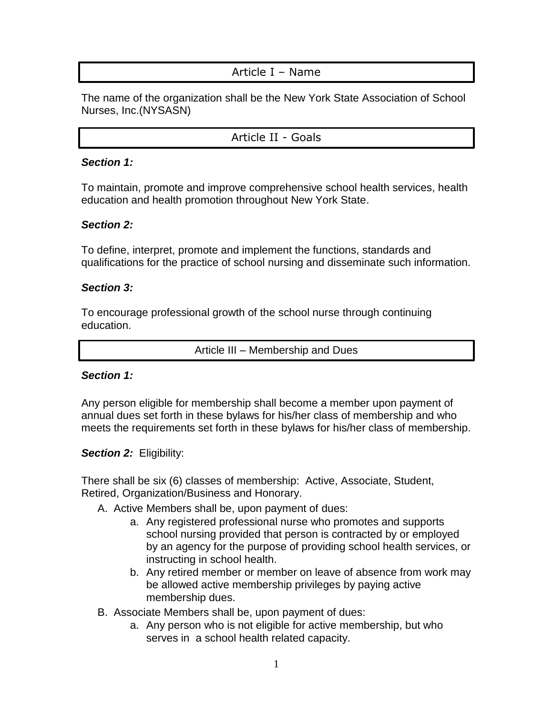### Article I – Name

The name of the organization shall be the New York State Association of School Nurses, Inc.(NYSASN)

Article II - Goals

#### *Section 1:*

To maintain, promote and improve comprehensive school health services, health education and health promotion throughout New York State.

### *Section 2:*

To define, interpret, promote and implement the functions, standards and qualifications for the practice of school nursing and disseminate such information.

### *Section 3:*

To encourage professional growth of the school nurse through continuing education.

Article III – Membership and Dues

#### *Section 1:*

Any person eligible for membership shall become a member upon payment of annual dues set forth in these bylaws for his/her class of membership and who meets the requirements set forth in these bylaws for his/her class of membership.

#### **Section 2: Eligibility:**

There shall be six (6) classes of membership: Active, Associate, Student, Retired, Organization/Business and Honorary.

A. Active Members shall be, upon payment of dues:

- a. Any registered professional nurse who promotes and supports school nursing provided that person is contracted by or employed by an agency for the purpose of providing school health services, or instructing in school health.
- b. Any retired member or member on leave of absence from work may be allowed active membership privileges by paying active membership dues.
- B. Associate Members shall be, upon payment of dues:
	- a. Any person who is not eligible for active membership, but who serves in a school health related capacity.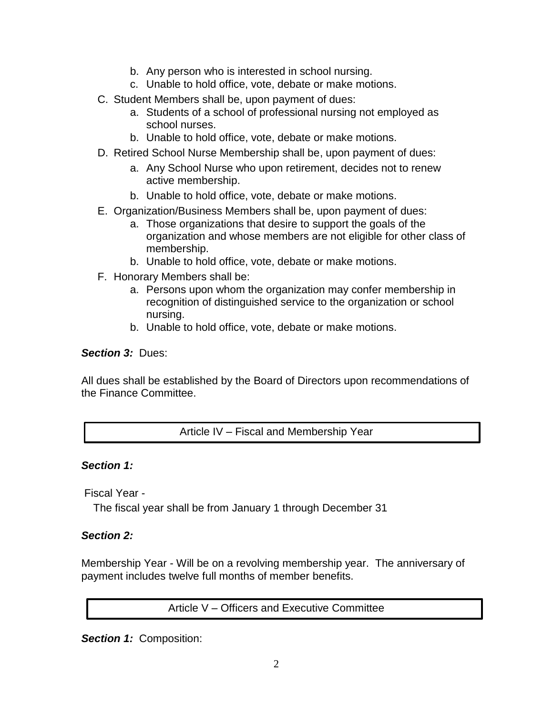- b. Any person who is interested in school nursing.
- c. Unable to hold office, vote, debate or make motions.
- C. Student Members shall be, upon payment of dues:
	- a. Students of a school of professional nursing not employed as school nurses.
	- b. Unable to hold office, vote, debate or make motions.
- D. Retired School Nurse Membership shall be, upon payment of dues:
	- a. Any School Nurse who upon retirement, decides not to renew active membership.
	- b. Unable to hold office, vote, debate or make motions.
- E. Organization/Business Members shall be, upon payment of dues:
	- a. Those organizations that desire to support the goals of the organization and whose members are not eligible for other class of membership.
	- b. Unable to hold office, vote, debate or make motions.
- F. Honorary Members shall be:
	- a. Persons upon whom the organization may confer membership in recognition of distinguished service to the organization or school nursing.
	- b. Unable to hold office, vote, debate or make motions.

### *Section 3:* Dues:

All dues shall be established by the Board of Directors upon recommendations of the Finance Committee.

Article IV – Fiscal and Membership Year

#### *Section 1:*

Fiscal Year -

The fiscal year shall be from January 1 through December 31

### *Section 2:*

Membership Year - Will be on a revolving membership year. The anniversary of payment includes twelve full months of member benefits.

Article V – Officers and Executive Committee

*Section 1:* Composition: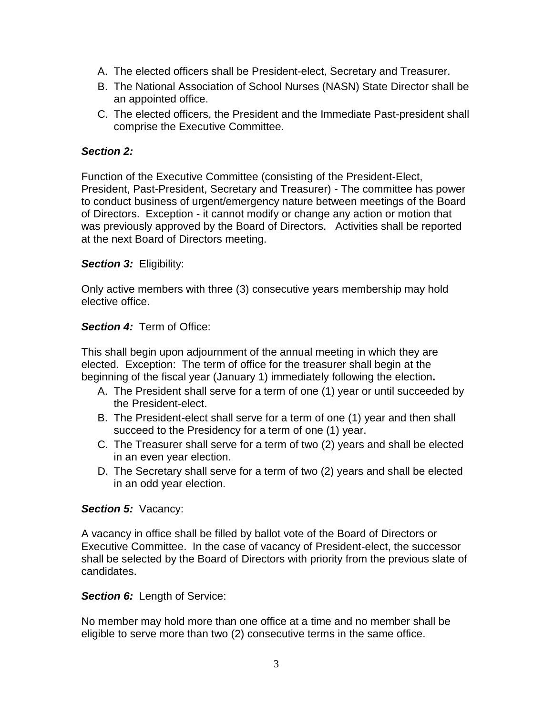- A. The elected officers shall be President-elect, Secretary and Treasurer.
- B. The National Association of School Nurses (NASN) State Director shall be an appointed office.
- C. The elected officers, the President and the Immediate Past-president shall comprise the Executive Committee.

#### *Section 2:*

Function of the Executive Committee (consisting of the President-Elect, President, Past-President, Secretary and Treasurer) - The committee has power to conduct business of urgent/emergency nature between meetings of the Board of Directors. Exception - it cannot modify or change any action or motion that was previously approved by the Board of Directors. Activities shall be reported at the next Board of Directors meeting.

### **Section 3: Eligibility:**

Only active members with three (3) consecutive years membership may hold elective office.

### *Section 4:* Term of Office:

This shall begin upon adjournment of the annual meeting in which they are elected. Exception: The term of office for the treasurer shall begin at the beginning of the fiscal year (January 1) immediately following the election**.**

- A. The President shall serve for a term of one (1) year or until succeeded by the President-elect.
- B. The President-elect shall serve for a term of one (1) year and then shall succeed to the Presidency for a term of one (1) year.
- C. The Treasurer shall serve for a term of two (2) years and shall be elected in an even year election.
- D. The Secretary shall serve for a term of two (2) years and shall be elected in an odd year election.

#### **Section 5: Vacancy:**

A vacancy in office shall be filled by ballot vote of the Board of Directors or Executive Committee. In the case of vacancy of President-elect, the successor shall be selected by the Board of Directors with priority from the previous slate of candidates.

#### **Section 6:** Length of Service:

No member may hold more than one office at a time and no member shall be eligible to serve more than two (2) consecutive terms in the same office.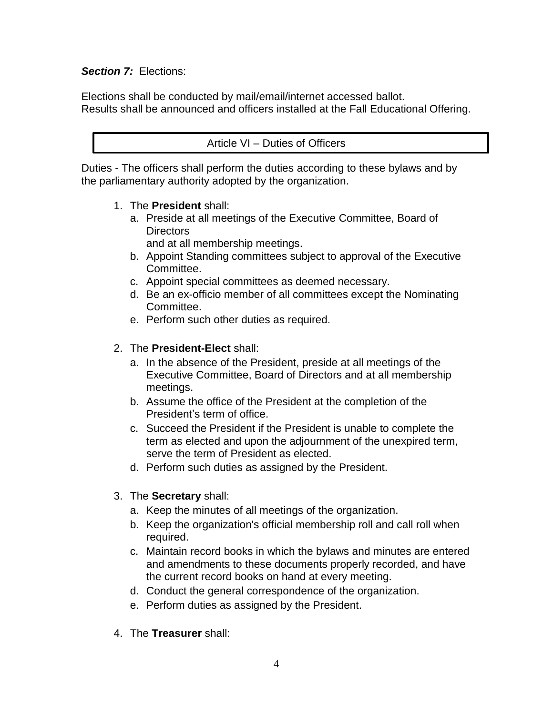### *Section 7:* Elections:

Elections shall be conducted by mail/email/internet accessed ballot. Results shall be announced and officers installed at the Fall Educational Offering.

#### Article VI – Duties of Officers

Duties - The officers shall perform the duties according to these bylaws and by the parliamentary authority adopted by the organization.

- 1. The **President** shall:
	- a. Preside at all meetings of the Executive Committee, Board of **Directors** 
		- and at all membership meetings.
	- b. Appoint Standing committees subject to approval of the Executive Committee.
	- c. Appoint special committees as deemed necessary.
	- d. Be an ex-officio member of all committees except the Nominating Committee.
	- e. Perform such other duties as required.

### 2. The **President-Elect** shall:

- a. In the absence of the President, preside at all meetings of the Executive Committee, Board of Directors and at all membership meetings.
- b. Assume the office of the President at the completion of the President's term of office.
- c. Succeed the President if the President is unable to complete the term as elected and upon the adjournment of the unexpired term, serve the term of President as elected.
- d. Perform such duties as assigned by the President.
- 3. The **Secretary** shall:
	- a. Keep the minutes of all meetings of the organization.
	- b. Keep the organization's official membership roll and call roll when required.
	- c. Maintain record books in which the bylaws and minutes are entered and amendments to these documents properly recorded, and have the current record books on hand at every meeting.
	- d. Conduct the general correspondence of the organization.
	- e. Perform duties as assigned by the President.
- 4. The **Treasurer** shall: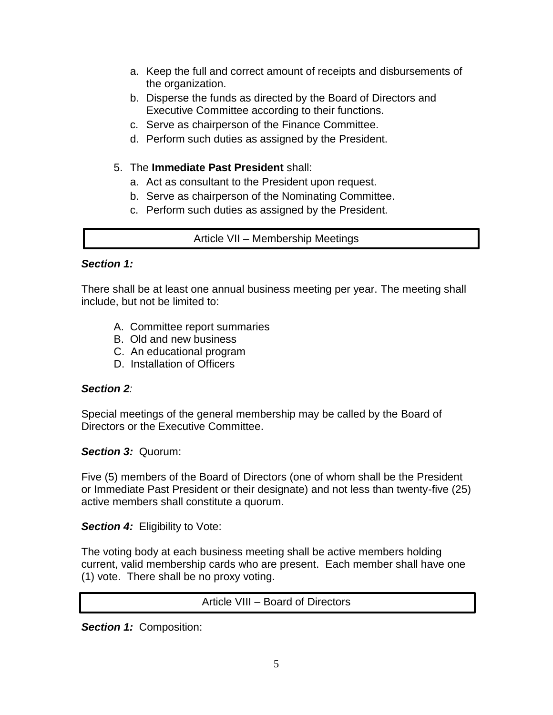- a. Keep the full and correct amount of receipts and disbursements of the organization.
- b. Disperse the funds as directed by the Board of Directors and Executive Committee according to their functions.
- c. Serve as chairperson of the Finance Committee.
- d. Perform such duties as assigned by the President.

### 5. The **Immediate Past President** shall:

- a. Act as consultant to the President upon request.
- b. Serve as chairperson of the Nominating Committee.
- c. Perform such duties as assigned by the President.

Article VII – Membership Meetings

### *Section 1:*

There shall be at least one annual business meeting per year. The meeting shall include, but not be limited to:

- A. Committee report summaries
- B. Old and new business
- C. An educational program
- D. Installation of Officers

### *Section 2:*

Special meetings of the general membership may be called by the Board of Directors or the Executive Committee.

*Section 3:* Quorum:

Five (5) members of the Board of Directors (one of whom shall be the President or Immediate Past President or their designate) and not less than twenty-five (25) active members shall constitute a quorum.

**Section 4: Eligibility to Vote:** 

The voting body at each business meeting shall be active members holding current, valid membership cards who are present. Each member shall have one (1) vote. There shall be no proxy voting.

Article VIII – Board of Directors

*Section 1:* Composition: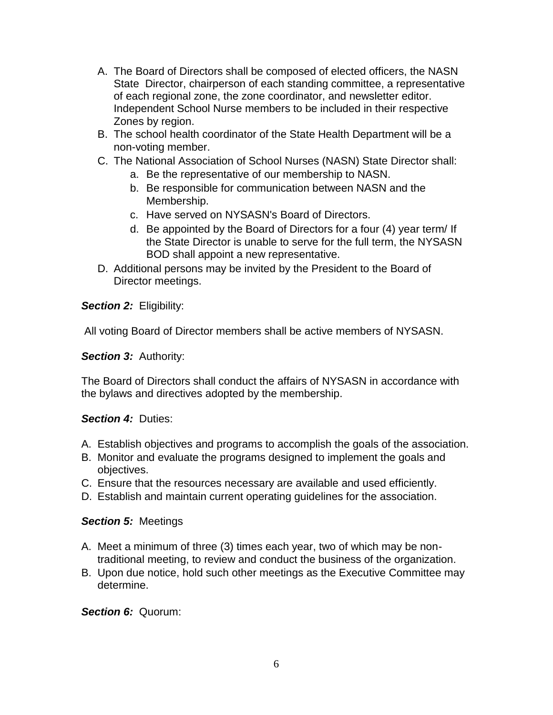- A. The Board of Directors shall be composed of elected officers, the NASN State Director, chairperson of each standing committee, a representative of each regional zone, the zone coordinator, and newsletter editor. Independent School Nurse members to be included in their respective Zones by region.
- B. The school health coordinator of the State Health Department will be a non-voting member.
- C. The National Association of School Nurses (NASN) State Director shall:
	- a. Be the representative of our membership to NASN.
	- b. Be responsible for communication between NASN and the Membership.
	- c. Have served on NYSASN's Board of Directors.
	- d. Be appointed by the Board of Directors for a four (4) year term/ If the State Director is unable to serve for the full term, the NYSASN BOD shall appoint a new representative.
- D. Additional persons may be invited by the President to the Board of Director meetings.

**Section 2: Eligibility:** 

All voting Board of Director members shall be active members of NYSASN.

*Section 3:* Authority:

The Board of Directors shall conduct the affairs of NYSASN in accordance with the bylaws and directives adopted by the membership.

## *Section 4:* Duties:

- A. Establish objectives and programs to accomplish the goals of the association.
- B. Monitor and evaluate the programs designed to implement the goals and objectives.
- C. Ensure that the resources necessary are available and used efficiently.
- D. Establish and maintain current operating guidelines for the association.

### *Section 5:* Meetings

- A. Meet a minimum of three (3) times each year, two of which may be nontraditional meeting, to review and conduct the business of the organization.
- B. Upon due notice, hold such other meetings as the Executive Committee may determine.

*Section 6:* Quorum: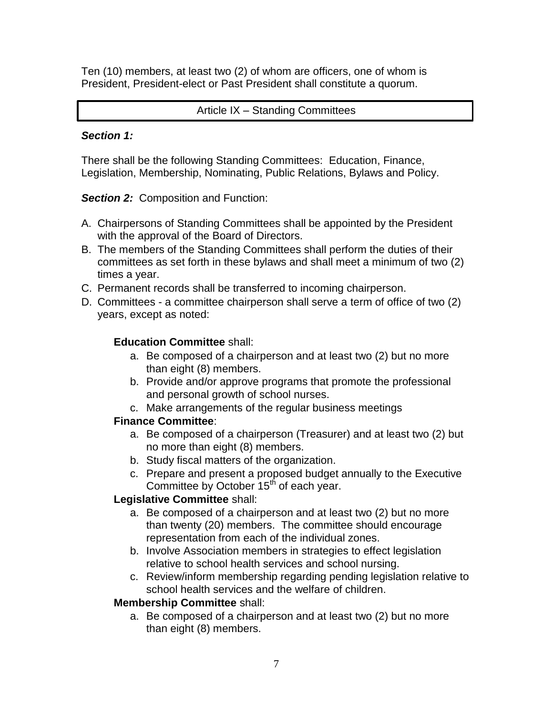Ten (10) members, at least two (2) of whom are officers, one of whom is President, President-elect or Past President shall constitute a quorum.

### Article IX – Standing Committees

#### *Section 1:*

There shall be the following Standing Committees: Education, Finance, Legislation, Membership, Nominating, Public Relations, Bylaws and Policy.

**Section 2: Composition and Function:** 

- A. Chairpersons of Standing Committees shall be appointed by the President with the approval of the Board of Directors.
- B. The members of the Standing Committees shall perform the duties of their committees as set forth in these bylaws and shall meet a minimum of two (2) times a year.
- C. Permanent records shall be transferred to incoming chairperson.
- D. Committees a committee chairperson shall serve a term of office of two (2) years, except as noted:

### **Education Committee** shall:

- a. Be composed of a chairperson and at least two (2) but no more than eight (8) members.
- b. Provide and/or approve programs that promote the professional and personal growth of school nurses.
- c. Make arrangements of the regular business meetings

### **Finance Committee**:

- a. Be composed of a chairperson (Treasurer) and at least two (2) but no more than eight (8) members.
- b. Study fiscal matters of the organization.
- c. Prepare and present a proposed budget annually to the Executive Committee by October 15<sup>th</sup> of each year.

### **Legislative Committee** shall:

- a. Be composed of a chairperson and at least two (2) but no more than twenty (20) members. The committee should encourage representation from each of the individual zones.
- b. Involve Association members in strategies to effect legislation relative to school health services and school nursing.
- c. Review/inform membership regarding pending legislation relative to school health services and the welfare of children.

### **Membership Committee** shall:

a. Be composed of a chairperson and at least two (2) but no more than eight (8) members.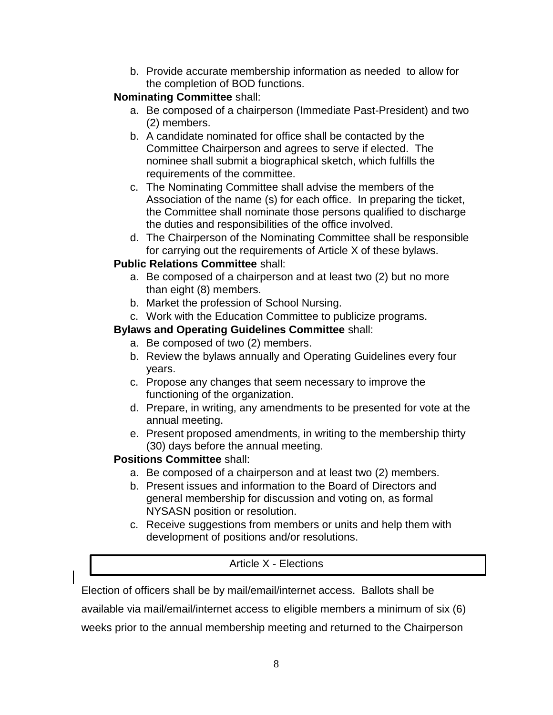b. Provide accurate membership information as needed to allow for the completion of BOD functions.

## **Nominating Committee** shall:

- a. Be composed of a chairperson (Immediate Past-President) and two (2) members.
- b. A candidate nominated for office shall be contacted by the Committee Chairperson and agrees to serve if elected. The nominee shall submit a biographical sketch, which fulfills the requirements of the committee.
- c. The Nominating Committee shall advise the members of the Association of the name (s) for each office. In preparing the ticket, the Committee shall nominate those persons qualified to discharge the duties and responsibilities of the office involved.
- d. The Chairperson of the Nominating Committee shall be responsible for carrying out the requirements of Article X of these bylaws.

## **Public Relations Committee** shall:

- a. Be composed of a chairperson and at least two (2) but no more than eight (8) members.
- b. Market the profession of School Nursing.
- c. Work with the Education Committee to publicize programs.

## **Bylaws and Operating Guidelines Committee** shall:

- a. Be composed of two (2) members.
- b. Review the bylaws annually and Operating Guidelines every four years.
- c. Propose any changes that seem necessary to improve the functioning of the organization.
- d. Prepare, in writing, any amendments to be presented for vote at the annual meeting.
- e. Present proposed amendments, in writing to the membership thirty (30) days before the annual meeting.

## **Positions Committee** shall:

- a. Be composed of a chairperson and at least two (2) members.
- b. Present issues and information to the Board of Directors and general membership for discussion and voting on, as formal NYSASN position or resolution.
- c. Receive suggestions from members or units and help them with development of positions and/or resolutions.

# Article X - Elections

Election of officers shall be by mail/email/internet access. Ballots shall be

available via mail/email/internet access to eligible members a minimum of six (6)

weeks prior to the annual membership meeting and returned to the Chairperson